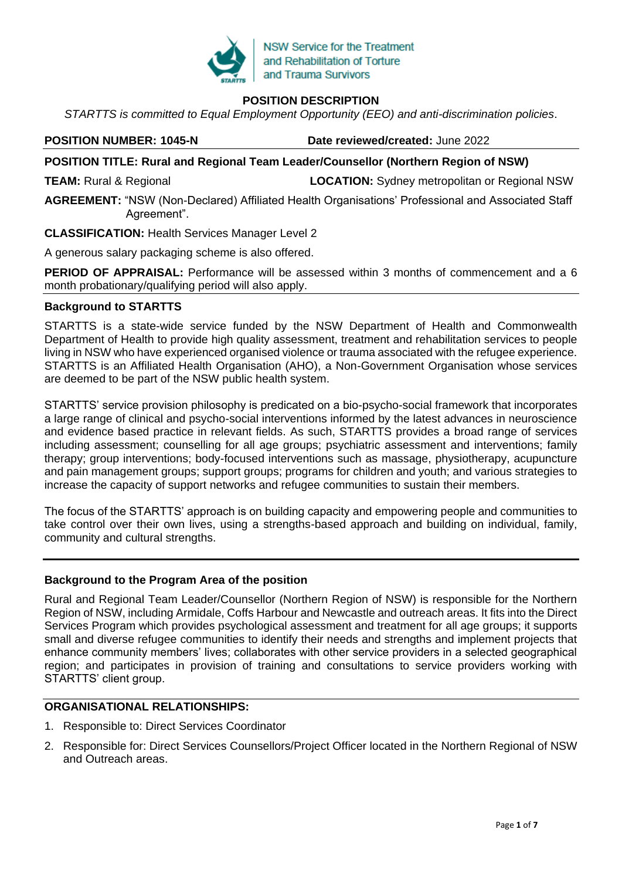

# **POSITION DESCRIPTION**

*STARTTS is committed to Equal Employment Opportunity (EEO) and anti-discrimination policies*.

**POSITION NUMBER: 1045-N Date reviewed/created:** June 2022

# **POSITION TITLE: Rural and Regional Team Leader/Counsellor (Northern Region of NSW)**

**TEAM:** Rural & Regional **LOCATION:** Sydney metropolitan or Regional NSW

**AGREEMENT:** "NSW (Non-Declared) Affiliated Health Organisations' Professional and Associated Staff Agreement".

**CLASSIFICATION:** Health Services Manager Level 2

A generous salary packaging scheme is also offered.

**PERIOD OF APPRAISAL:** Performance will be assessed within 3 months of commencement and a 6 month probationary/qualifying period will also apply.

#### **Background to STARTTS**

STARTTS is a state-wide service funded by the NSW Department of Health and Commonwealth Department of Health to provide high quality assessment, treatment and rehabilitation services to people living in NSW who have experienced organised violence or trauma associated with the refugee experience. STARTTS is an Affiliated Health Organisation (AHO), a Non-Government Organisation whose services are deemed to be part of the NSW public health system.

STARTTS' service provision philosophy is predicated on a bio-psycho-social framework that incorporates a large range of clinical and psycho-social interventions informed by the latest advances in neuroscience and evidence based practice in relevant fields. As such, STARTTS provides a broad range of services including assessment; counselling for all age groups; psychiatric assessment and interventions; family therapy; group interventions; body-focused interventions such as massage, physiotherapy, acupuncture and pain management groups; support groups; programs for children and youth; and various strategies to increase the capacity of support networks and refugee communities to sustain their members.

The focus of the STARTTS' approach is on building capacity and empowering people and communities to take control over their own lives, using a strengths-based approach and building on individual, family, community and cultural strengths.

#### **Background to the Program Area of the position**

Rural and Regional Team Leader/Counsellor (Northern Region of NSW) is responsible for the Northern Region of NSW, including Armidale, Coffs Harbour and Newcastle and outreach areas. It fits into the Direct Services Program which provides psychological assessment and treatment for all age groups; it supports small and diverse refugee communities to identify their needs and strengths and implement projects that enhance community members' lives; collaborates with other service providers in a selected geographical region; and participates in provision of training and consultations to service providers working with STARTTS' client group.

## **ORGANISATIONAL RELATIONSHIPS:**

- 1. Responsible to: Direct Services Coordinator
- 2. Responsible for: Direct Services Counsellors/Project Officer located in the Northern Regional of NSW and Outreach areas.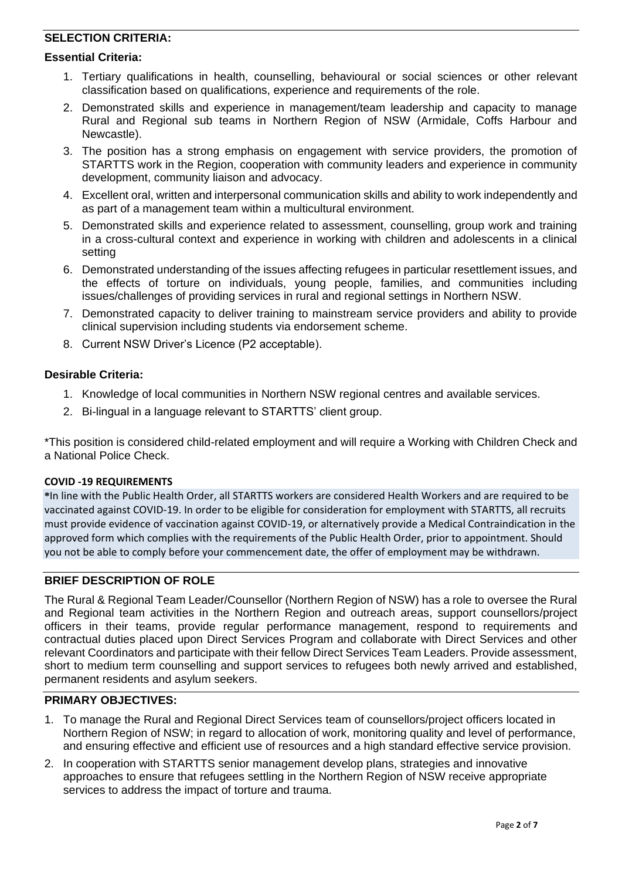# **SELECTION CRITERIA:**

#### **Essential Criteria:**

- 1. Tertiary qualifications in health, counselling, behavioural or social sciences or other relevant classification based on qualifications, experience and requirements of the role.
- 2. Demonstrated skills and experience in management/team leadership and capacity to manage Rural and Regional sub teams in Northern Region of NSW (Armidale, Coffs Harbour and Newcastle).
- 3. The position has a strong emphasis on engagement with service providers, the promotion of STARTTS work in the Region, cooperation with community leaders and experience in community development, community liaison and advocacy.
- 4. Excellent oral, written and interpersonal communication skills and ability to work independently and as part of a management team within a multicultural environment.
- 5. Demonstrated skills and experience related to assessment, counselling, group work and training in a cross-cultural context and experience in working with children and adolescents in a clinical setting
- 6. Demonstrated understanding of the issues affecting refugees in particular resettlement issues, and the effects of torture on individuals, young people, families, and communities including issues/challenges of providing services in rural and regional settings in Northern NSW.
- 7. Demonstrated capacity to deliver training to mainstream service providers and ability to provide clinical supervision including students via endorsement scheme.
- 8. Current NSW Driver's Licence (P2 acceptable).

#### **Desirable Criteria:**

- 1. Knowledge of local communities in Northern NSW regional centres and available services.
- 2. Bi-lingual in a language relevant to STARTTS' client group.

\*This position is considered child-related employment and will require a Working with Children Check and a National Police Check.

# **COVID -19 REQUIREMENTS**

**\***In line with the Public Health Order, all STARTTS workers are considered Health Workers and are required to be vaccinated against COVID-19. In order to be eligible for consideration for employment with STARTTS, all recruits must provide evidence of vaccination against COVID-19, or alternatively provide a Medical Contraindication in the approved form which complies with the requirements of the Public Health Order, prior to appointment. Should you not be able to comply before your commencement date, the offer of employment may be withdrawn.

# **BRIEF DESCRIPTION OF ROLE**

The Rural & Regional Team Leader/Counsellor (Northern Region of NSW) has a role to oversee the Rural and Regional team activities in the Northern Region and outreach areas, support counsellors/project officers in their teams, provide regular performance management, respond to requirements and contractual duties placed upon Direct Services Program and collaborate with Direct Services and other relevant Coordinators and participate with their fellow Direct Services Team Leaders. Provide assessment, short to medium term counselling and support services to refugees both newly arrived and established, permanent residents and asylum seekers.

# **PRIMARY OBJECTIVES:**

- 1. To manage the Rural and Regional Direct Services team of counsellors/project officers located in Northern Region of NSW; in regard to allocation of work, monitoring quality and level of performance, and ensuring effective and efficient use of resources and a high standard effective service provision.
- 2. In cooperation with STARTTS senior management develop plans, strategies and innovative approaches to ensure that refugees settling in the Northern Region of NSW receive appropriate services to address the impact of torture and trauma.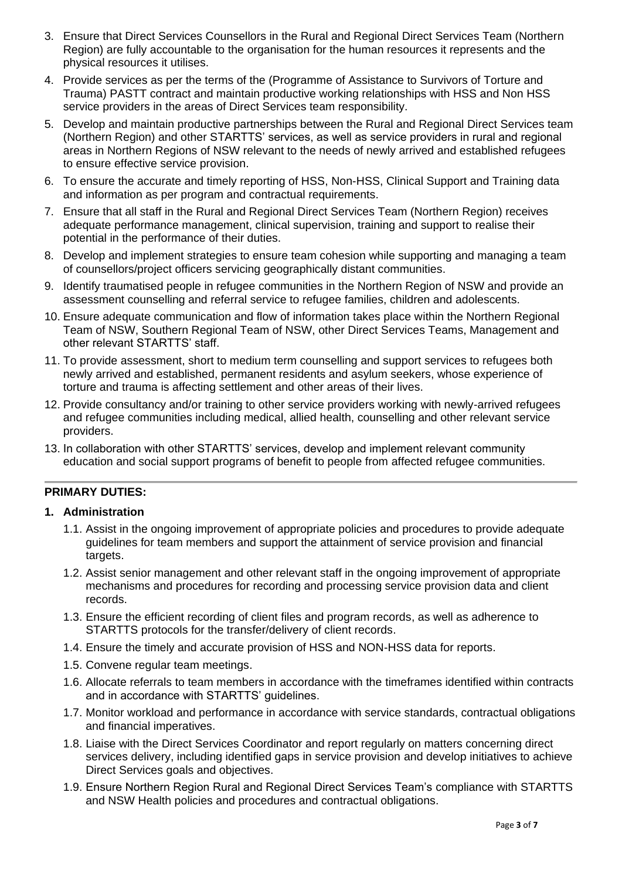- 3. Ensure that Direct Services Counsellors in the Rural and Regional Direct Services Team (Northern Region) are fully accountable to the organisation for the human resources it represents and the physical resources it utilises.
- 4. Provide services as per the terms of the (Programme of Assistance to Survivors of Torture and Trauma) PASTT contract and maintain productive working relationships with HSS and Non HSS service providers in the areas of Direct Services team responsibility.
- 5. Develop and maintain productive partnerships between the Rural and Regional Direct Services team (Northern Region) and other STARTTS' services, as well as service providers in rural and regional areas in Northern Regions of NSW relevant to the needs of newly arrived and established refugees to ensure effective service provision.
- 6. To ensure the accurate and timely reporting of HSS, Non-HSS, Clinical Support and Training data and information as per program and contractual requirements.
- 7. Ensure that all staff in the Rural and Regional Direct Services Team (Northern Region) receives adequate performance management, clinical supervision, training and support to realise their potential in the performance of their duties.
- 8. Develop and implement strategies to ensure team cohesion while supporting and managing a team of counsellors/project officers servicing geographically distant communities.
- 9. Identify traumatised people in refugee communities in the Northern Region of NSW and provide an assessment counselling and referral service to refugee families, children and adolescents.
- 10. Ensure adequate communication and flow of information takes place within the Northern Regional Team of NSW, Southern Regional Team of NSW, other Direct Services Teams, Management and other relevant STARTTS' staff.
- 11. To provide assessment, short to medium term counselling and support services to refugees both newly arrived and established, permanent residents and asylum seekers, whose experience of torture and trauma is affecting settlement and other areas of their lives.
- 12. Provide consultancy and/or training to other service providers working with newly-arrived refugees and refugee communities including medical, allied health, counselling and other relevant service providers.
- 13. In collaboration with other STARTTS' services, develop and implement relevant community education and social support programs of benefit to people from affected refugee communities.

# **PRIMARY DUTIES:**

# **1. Administration**

- 1.1. Assist in the ongoing improvement of appropriate policies and procedures to provide adequate guidelines for team members and support the attainment of service provision and financial targets.
- 1.2. Assist senior management and other relevant staff in the ongoing improvement of appropriate mechanisms and procedures for recording and processing service provision data and client records.
- 1.3. Ensure the efficient recording of client files and program records, as well as adherence to STARTTS protocols for the transfer/delivery of client records.
- 1.4. Ensure the timely and accurate provision of HSS and NON-HSS data for reports.
- 1.5. Convene regular team meetings.
- 1.6. Allocate referrals to team members in accordance with the timeframes identified within contracts and in accordance with STARTTS' guidelines.
- 1.7. Monitor workload and performance in accordance with service standards, contractual obligations and financial imperatives.
- 1.8. Liaise with the Direct Services Coordinator and report regularly on matters concerning direct services delivery, including identified gaps in service provision and develop initiatives to achieve Direct Services goals and objectives.
- 1.9. Ensure Northern Region Rural and Regional Direct Services Team's compliance with STARTTS and NSW Health policies and procedures and contractual obligations.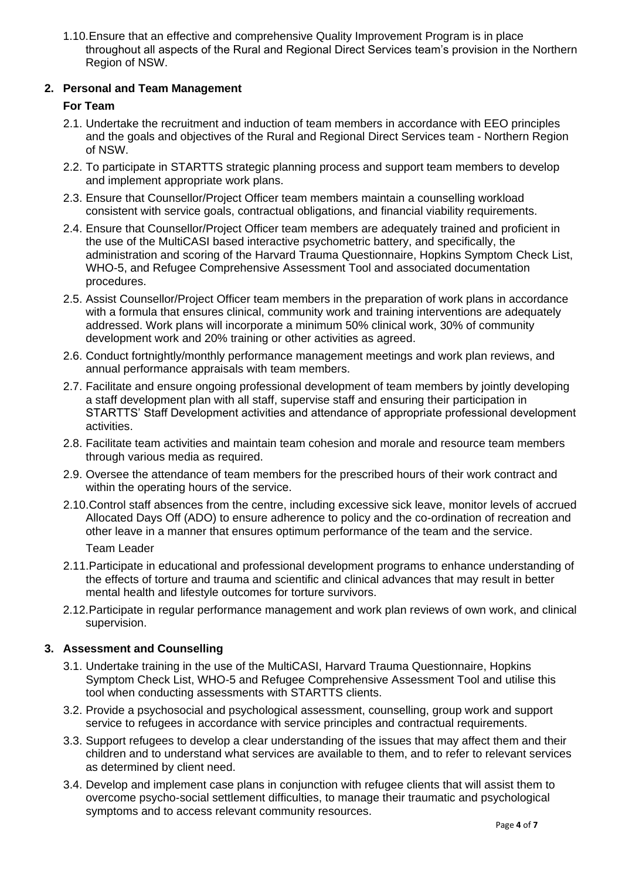1.10.Ensure that an effective and comprehensive Quality Improvement Program is in place throughout all aspects of the Rural and Regional Direct Services team's provision in the Northern Region of NSW.

# **2. Personal and Team Management**

# **For Team**

- 2.1. Undertake the recruitment and induction of team members in accordance with EEO principles and the goals and objectives of the Rural and Regional Direct Services team - Northern Region of NSW.
- 2.2. To participate in STARTTS strategic planning process and support team members to develop and implement appropriate work plans.
- 2.3. Ensure that Counsellor/Project Officer team members maintain a counselling workload consistent with service goals, contractual obligations, and financial viability requirements.
- 2.4. Ensure that Counsellor/Project Officer team members are adequately trained and proficient in the use of the MultiCASI based interactive psychometric battery, and specifically, the administration and scoring of the Harvard Trauma Questionnaire, Hopkins Symptom Check List, WHO-5, and Refugee Comprehensive Assessment Tool and associated documentation procedures.
- 2.5. Assist Counsellor/Project Officer team members in the preparation of work plans in accordance with a formula that ensures clinical, community work and training interventions are adequately addressed. Work plans will incorporate a minimum 50% clinical work, 30% of community development work and 20% training or other activities as agreed.
- 2.6. Conduct fortnightly/monthly performance management meetings and work plan reviews, and annual performance appraisals with team members.
- 2.7. Facilitate and ensure ongoing professional development of team members by jointly developing a staff development plan with all staff, supervise staff and ensuring their participation in STARTTS' Staff Development activities and attendance of appropriate professional development activities.
- 2.8. Facilitate team activities and maintain team cohesion and morale and resource team members through various media as required.
- 2.9. Oversee the attendance of team members for the prescribed hours of their work contract and within the operating hours of the service.
- 2.10.Control staff absences from the centre, including excessive sick leave, monitor levels of accrued Allocated Days Off (ADO) to ensure adherence to policy and the co-ordination of recreation and other leave in a manner that ensures optimum performance of the team and the service. Team Leader
- 2.11.Participate in educational and professional development programs to enhance understanding of the effects of torture and trauma and scientific and clinical advances that may result in better mental health and lifestyle outcomes for torture survivors.
- 2.12.Participate in regular performance management and work plan reviews of own work, and clinical supervision.

# **3. Assessment and Counselling**

- 3.1. Undertake training in the use of the MultiCASI, Harvard Trauma Questionnaire, Hopkins Symptom Check List, WHO-5 and Refugee Comprehensive Assessment Tool and utilise this tool when conducting assessments with STARTTS clients.
- 3.2. Provide a psychosocial and psychological assessment, counselling, group work and support service to refugees in accordance with service principles and contractual requirements.
- 3.3. Support refugees to develop a clear understanding of the issues that may affect them and their children and to understand what services are available to them, and to refer to relevant services as determined by client need.
- 3.4. Develop and implement case plans in conjunction with refugee clients that will assist them to overcome psycho-social settlement difficulties, to manage their traumatic and psychological symptoms and to access relevant community resources.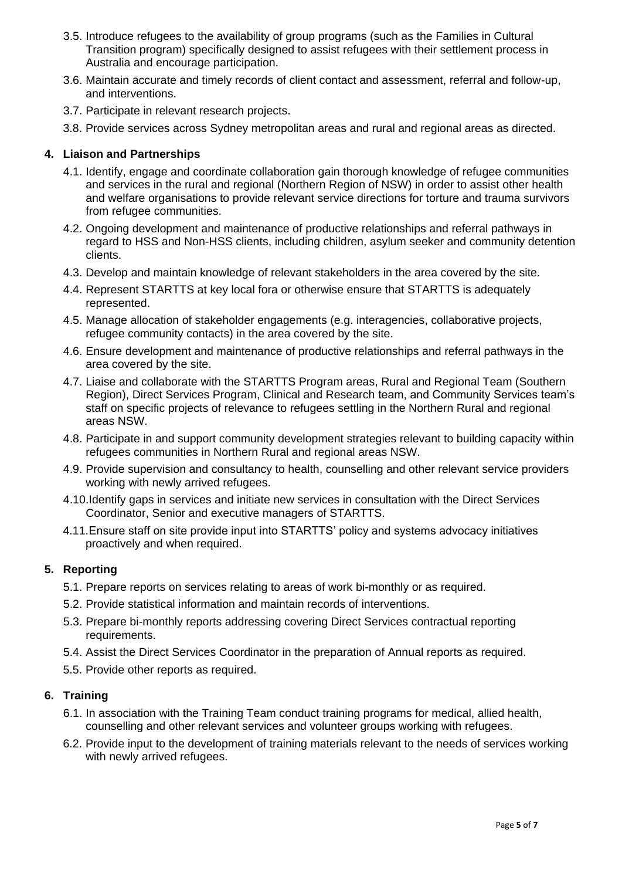- 3.5. Introduce refugees to the availability of group programs (such as the Families in Cultural Transition program) specifically designed to assist refugees with their settlement process in Australia and encourage participation.
- 3.6. Maintain accurate and timely records of client contact and assessment, referral and follow-up, and interventions.
- 3.7. Participate in relevant research projects.
- 3.8. Provide services across Sydney metropolitan areas and rural and regional areas as directed.

# **4. Liaison and Partnerships**

- 4.1. Identify, engage and coordinate collaboration gain thorough knowledge of refugee communities and services in the rural and regional (Northern Region of NSW) in order to assist other health and welfare organisations to provide relevant service directions for torture and trauma survivors from refugee communities.
- 4.2. Ongoing development and maintenance of productive relationships and referral pathways in regard to HSS and Non-HSS clients, including children, asylum seeker and community detention clients.
- 4.3. Develop and maintain knowledge of relevant stakeholders in the area covered by the site.
- 4.4. Represent STARTTS at key local fora or otherwise ensure that STARTTS is adequately represented.
- 4.5. Manage allocation of stakeholder engagements (e.g. interagencies, collaborative projects, refugee community contacts) in the area covered by the site.
- 4.6. Ensure development and maintenance of productive relationships and referral pathways in the area covered by the site.
- 4.7. Liaise and collaborate with the STARTTS Program areas, Rural and Regional Team (Southern Region), Direct Services Program, Clinical and Research team, and Community Services team's staff on specific projects of relevance to refugees settling in the Northern Rural and regional areas NSW.
- 4.8. Participate in and support community development strategies relevant to building capacity within refugees communities in Northern Rural and regional areas NSW.
- 4.9. Provide supervision and consultancy to health, counselling and other relevant service providers working with newly arrived refugees.
- 4.10.Identify gaps in services and initiate new services in consultation with the Direct Services Coordinator, Senior and executive managers of STARTTS.
- 4.11.Ensure staff on site provide input into STARTTS' policy and systems advocacy initiatives proactively and when required.

# **5. Reporting**

- 5.1. Prepare reports on services relating to areas of work bi-monthly or as required.
- 5.2. Provide statistical information and maintain records of interventions.
- 5.3. Prepare bi-monthly reports addressing covering Direct Services contractual reporting requirements.
- 5.4. Assist the Direct Services Coordinator in the preparation of Annual reports as required.
- 5.5. Provide other reports as required.

# **6. Training**

- 6.1. In association with the Training Team conduct training programs for medical, allied health, counselling and other relevant services and volunteer groups working with refugees.
- 6.2. Provide input to the development of training materials relevant to the needs of services working with newly arrived refugees.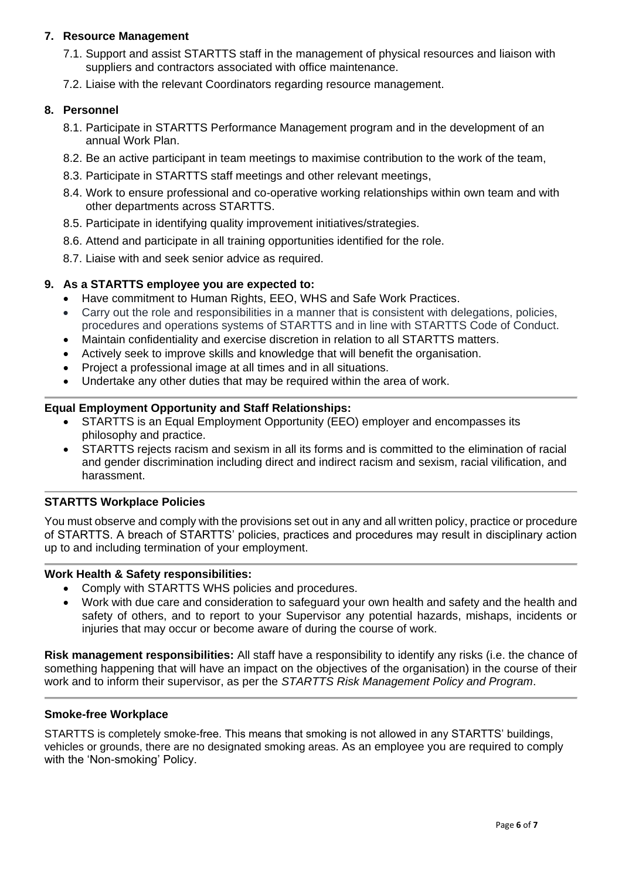# **7. Resource Management**

- 7.1. Support and assist STARTTS staff in the management of physical resources and liaison with suppliers and contractors associated with office maintenance.
- 7.2. Liaise with the relevant Coordinators regarding resource management.

## **8. Personnel**

- 8.1. Participate in STARTTS Performance Management program and in the development of an annual Work Plan.
- 8.2. Be an active participant in team meetings to maximise contribution to the work of the team,
- 8.3. Participate in STARTTS staff meetings and other relevant meetings,
- 8.4. Work to ensure professional and co-operative working relationships within own team and with other departments across STARTTS.
- 8.5. Participate in identifying quality improvement initiatives/strategies.
- 8.6. Attend and participate in all training opportunities identified for the role.
- 8.7. Liaise with and seek senior advice as required.

#### **9. As a STARTTS employee you are expected to:**

- Have commitment to Human Rights, EEO, WHS and Safe Work Practices.
- Carry out the role and responsibilities in a manner that is consistent with delegations, policies, procedures and operations systems of STARTTS and in line with STARTTS Code of Conduct.
- Maintain confidentiality and exercise discretion in relation to all STARTTS matters.
- Actively seek to improve skills and knowledge that will benefit the organisation.
- Project a professional image at all times and in all situations.
- Undertake any other duties that may be required within the area of work.

# **Equal Employment Opportunity and Staff Relationships:**

- STARTTS is an Equal Employment Opportunity (EEO) employer and encompasses its philosophy and practice.
- STARTTS rejects racism and sexism in all its forms and is committed to the elimination of racial and gender discrimination including direct and indirect racism and sexism, racial vilification, and harassment.

# **STARTTS Workplace Policies**

You must observe and comply with the provisions set out in any and all written policy, practice or procedure of STARTTS. A breach of STARTTS' policies, practices and procedures may result in disciplinary action up to and including termination of your employment.

#### **Work Health & Safety responsibilities:**

- Comply with STARTTS WHS policies and procedures.
- Work with due care and consideration to safeguard your own health and safety and the health and safety of others, and to report to your Supervisor any potential hazards, mishaps, incidents or injuries that may occur or become aware of during the course of work.

**Risk management responsibilities:** All staff have a responsibility to identify any risks (i.e. the chance of something happening that will have an impact on the objectives of the organisation) in the course of their work and to inform their supervisor, as per the *STARTTS Risk Management Policy and Program*.

## **Smoke-free Workplace**

STARTTS is completely smoke-free. This means that smoking is not allowed in any STARTTS' buildings, vehicles or grounds, there are no designated smoking areas. As an employee you are required to comply with the 'Non-smoking' Policy.